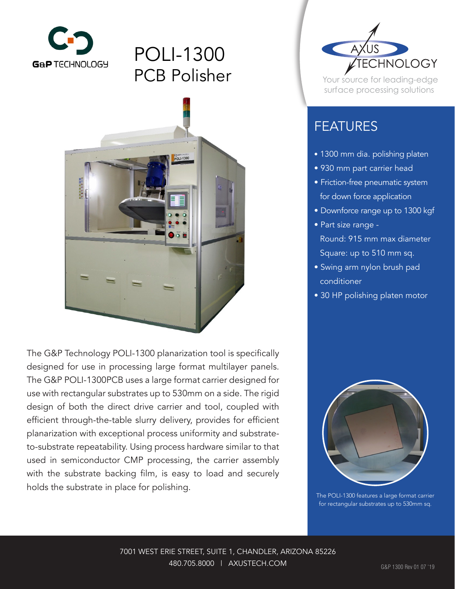

## POLI-1300 PCB Polisher



The G&P Technology POLI-1300 planarization tool is specifically designed for use in processing large format multilayer panels. The G&P POLI-1300PCB uses a large format carrier designed for use with rectangular substrates up to 530mm on a side. The rigid design of both the direct drive carrier and tool, coupled with efficient through-the-table slurry delivery, provides for efficient planarization with exceptional process uniformity and substrateto-substrate repeatability. Using process hardware similar to that used in semiconductor CMP processing, the carrier assembly with the substrate backing film, is easy to load and securely holds the substrate in place for polishing.



Your source for leading-edge surface processing solutions

## FEATURES

- 1300 mm dia. polishing platen
- 930 mm part carrier head
- Friction-free pneumatic system for down force application
- Downforce range up to 1300 kgf
- Part size range Round: 915 mm max diameter Square: up to 510 mm sq.
- Swing arm nylon brush pad conditioner
- 30 HP polishing platen motor



The POLI-1300 features a large format carrier for rectangular substrates up to 530mm sq.